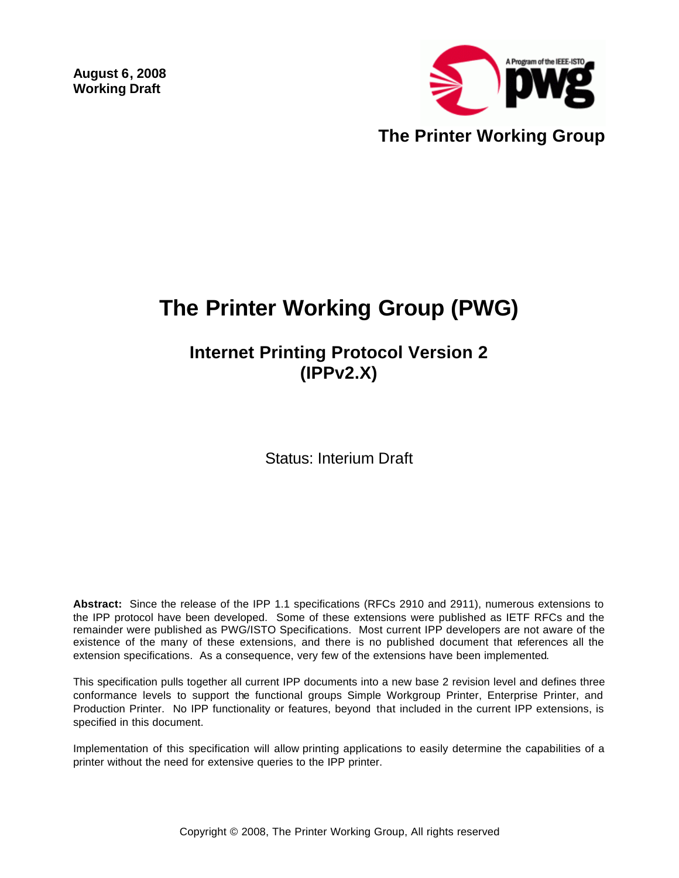**August 6, 2008 Working Draft** 



# **The Printer Working Group (PWG)**

# **Internet Printing Protocol Version 2 (IPPv2.X)**

Status: Interium Draft

**Abstract:** Since the release of the IPP 1.1 specifications (RFCs 2910 and 2911), numerous extensions to the IPP protocol have been developed. Some of these extensions were published as IETF RFCs and the remainder were published as PWG/ISTO Specifications. Most current IPP developers are not aware of the existence of the many of these extensions, and there is no published document that references all the extension specifications. As a consequence, very few of the extensions have been implemented.

This specification pulls together all current IPP documents into a new base 2 revision level and defines three conformance levels to support the functional groups Simple Workgroup Printer, Enterprise Printer, and Production Printer. No IPP functionality or features, beyond that included in the current IPP extensions, is specified in this document.

Implementation of this specification will allow printing applications to easily determine the capabilities of a printer without the need for extensive queries to the IPP printer.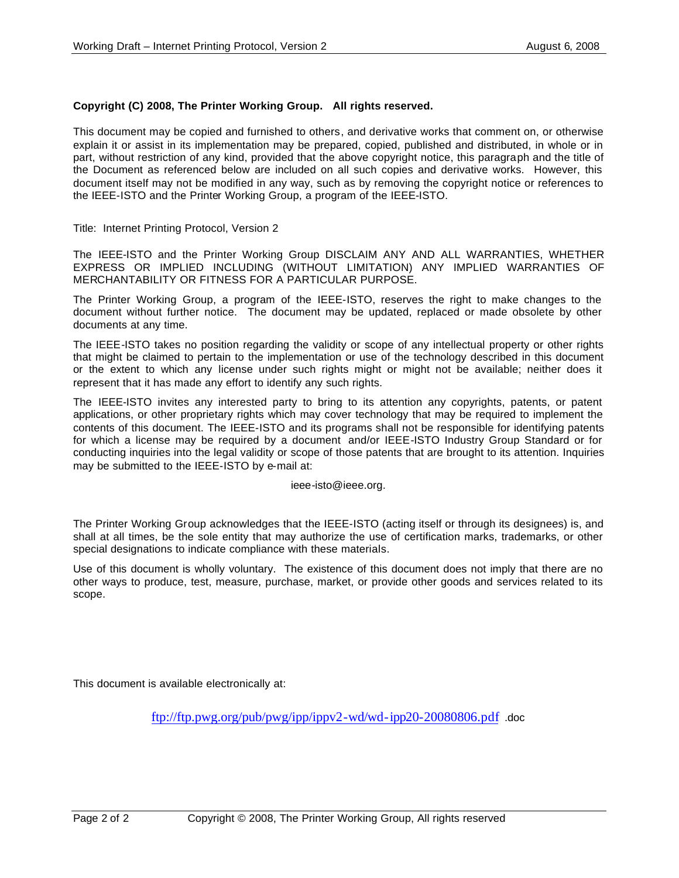#### **Copyright (C) 2008, The Printer Working Group. All rights reserved.**

This document may be copied and furnished to others, and derivative works that comment on, or otherwise explain it or assist in its implementation may be prepared, copied, published and distributed, in whole or in part, without restriction of any kind, provided that the above copyright notice, this paragraph and the title of the Document as referenced below are included on all such copies and derivative works. However, this document itself may not be modified in any way, such as by removing the copyright notice or references to the IEEE-ISTO and the Printer Working Group, a program of the IEEE-ISTO.

Title: Internet Printing Protocol, Version 2

The IEEE-ISTO and the Printer Working Group DISCLAIM ANY AND ALL WARRANTIES, WHETHER EXPRESS OR IMPLIED INCLUDING (WITHOUT LIMITATION) ANY IMPLIED WARRANTIES OF MERCHANTABILITY OR FITNESS FOR A PARTICULAR PURPOSE.

The Printer Working Group, a program of the IEEE-ISTO, reserves the right to make changes to the document without further notice. The document may be updated, replaced or made obsolete by other documents at any time.

The IEEE-ISTO takes no position regarding the validity or scope of any intellectual property or other rights that might be claimed to pertain to the implementation or use of the technology described in this document or the extent to which any license under such rights might or might not be available; neither does it represent that it has made any effort to identify any such rights.

The IEEE-ISTO invites any interested party to bring to its attention any copyrights, patents, or patent applications, or other proprietary rights which may cover technology that may be required to implement the contents of this document. The IEEE-ISTO and its programs shall not be responsible for identifying patents for which a license may be required by a document and/or IEEE-ISTO Industry Group Standard or for conducting inquiries into the legal validity or scope of those patents that are brought to its attention. Inquiries may be submitted to the IEEE-ISTO by e-mail at:

ieee-isto@ieee.org.

The Printer Working Group acknowledges that the IEEE-ISTO (acting itself or through its designees) is, and shall at all times, be the sole entity that may authorize the use of certification marks, trademarks, or other special designations to indicate compliance with these materials.

Use of this document is wholly voluntary. The existence of this document does not imply that there are no other ways to produce, test, measure, purchase, market, or provide other goods and services related to its scope.

This document is available electronically at:

ftp://ftp.pwg.org/pub/pwg/ipp/ippv2-wd/wd-ipp20-20080806.pdf .doc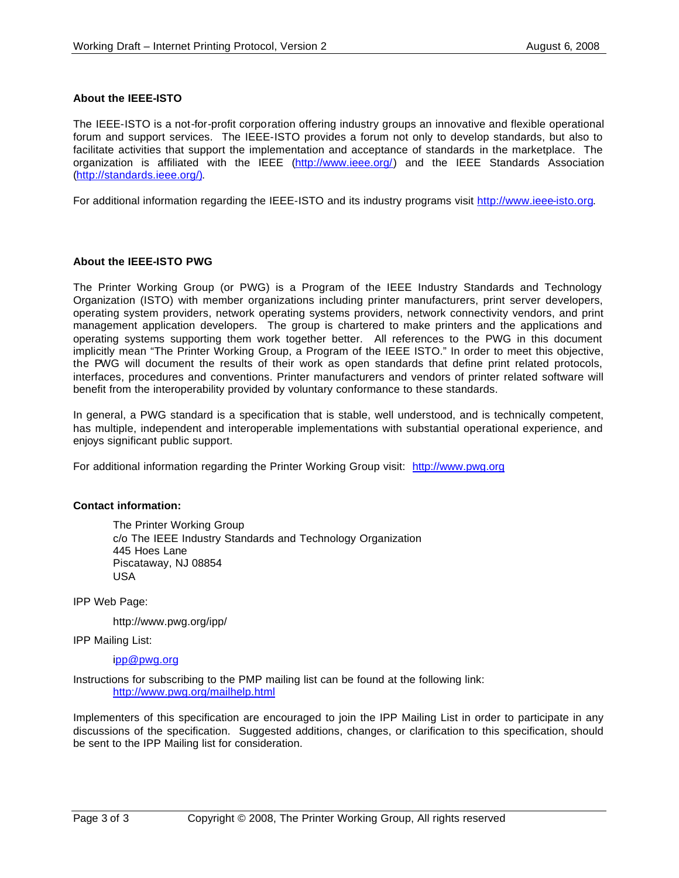#### **About the IEEE-ISTO**

The IEEE-ISTO is a not-for-profit corporation offering industry groups an innovative and flexible operational forum and support services. The IEEE-ISTO provides a forum not only to develop standards, but also to facilitate activities that support the implementation and acceptance of standards in the marketplace. The organization is affiliated with the IEEE (http://www.ieee.org/) and the IEEE Standards Association (http://standards.ieee.org/).

For additional information regarding the IEEE-ISTO and its industry programs visit http://www.ieee-isto.org.

#### **About the IEEE-ISTO PWG**

The Printer Working Group (or PWG) is a Program of the IEEE Industry Standards and Technology Organization (ISTO) with member organizations including printer manufacturers, print server developers, operating system providers, network operating systems providers, network connectivity vendors, and print management application developers. The group is chartered to make printers and the applications and operating systems supporting them work together better. All references to the PWG in this document implicitly mean "The Printer Working Group, a Program of the IEEE ISTO." In order to meet this objective, the PWG will document the results of their work as open standards that define print related protocols, interfaces, procedures and conventions. Printer manufacturers and vendors of printer related software will benefit from the interoperability provided by voluntary conformance to these standards.

In general, a PWG standard is a specification that is stable, well understood, and is technically competent, has multiple, independent and interoperable implementations with substantial operational experience, and enjoys significant public support.

For additional information regarding the Printer Working Group visit: http://www.pwg.org

#### **Contact information:**

The Printer Working Group c/o The IEEE Industry Standards and Technology Organization 445 Hoes Lane Piscataway, NJ 08854 USA

IPP Web Page:

http://www.pwg.org/ipp/

IPP Mailing List:

ipp@pwg.org

Instructions for subscribing to the PMP mailing list can be found at the following link: http://www.pwg.org/mailhelp.html

Implementers of this specification are encouraged to join the IPP Mailing List in order to participate in any discussions of the specification. Suggested additions, changes, or clarification to this specification, should be sent to the IPP Mailing list for consideration.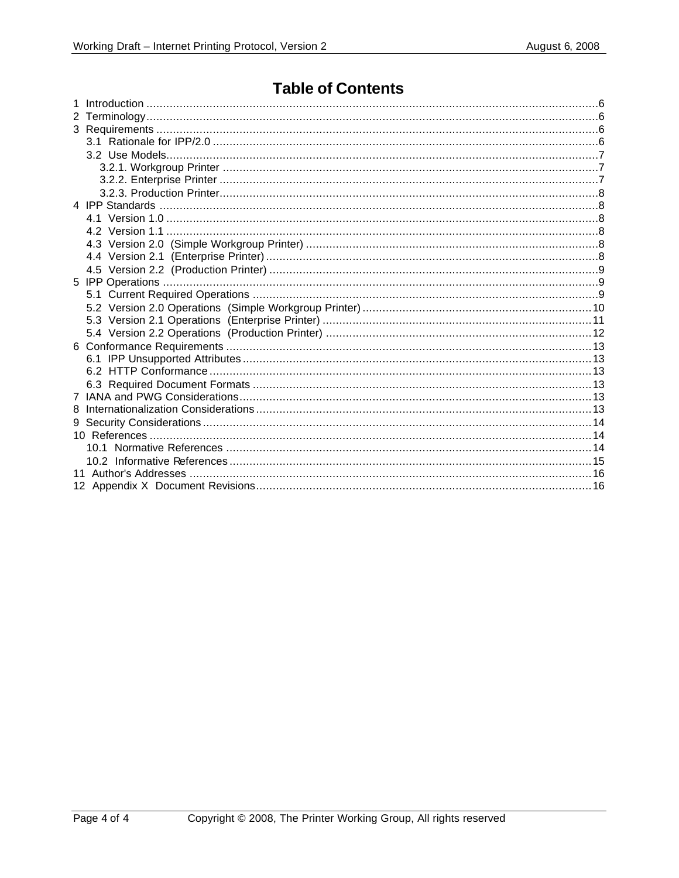### **Table of Contents**

| 8 |  |
|---|--|
|   |  |
|   |  |
|   |  |
|   |  |
|   |  |
|   |  |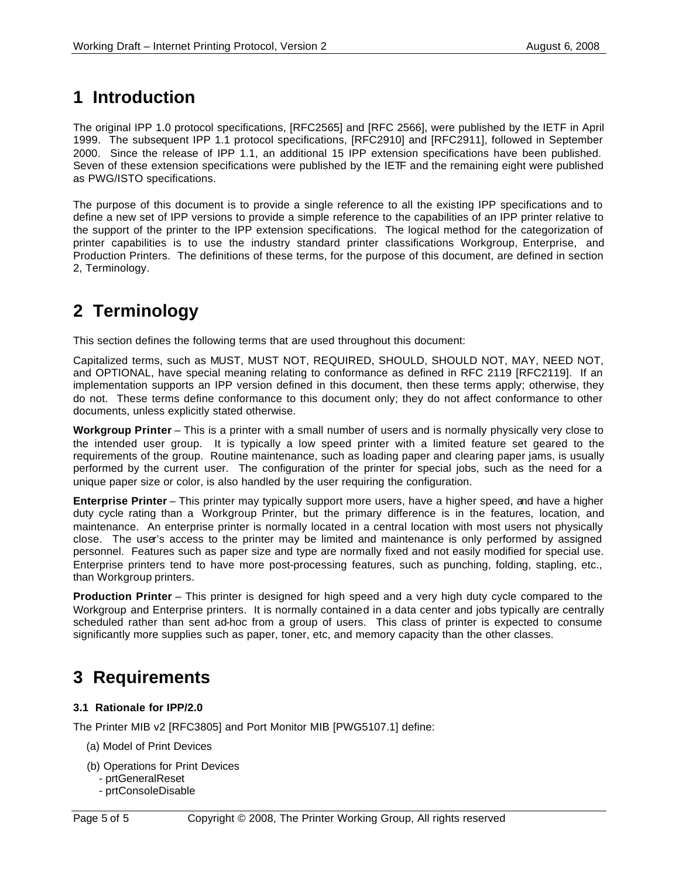### **1 Introduction**

The original IPP 1.0 protocol specifications, [RFC2565] and [RFC 2566], were published by the IETF in April 1999. The subsequent IPP 1.1 protocol specifications, [RFC2910] and [RFC2911], followed in September 2000. Since the release of IPP 1.1, an additional 15 IPP extension specifications have been published. Seven of these extension specifications were published by the IETF and the remaining eight were published as PWG/ISTO specifications.

The purpose of this document is to provide a single reference to all the existing IPP specifications and to define a new set of IPP versions to provide a simple reference to the capabilities of an IPP printer relative to the support of the printer to the IPP extension specifications. The logical method for the categorization of printer capabilities is to use the industry standard printer classifications Workgroup, Enterprise, and Production Printers. The definitions of these terms, for the purpose of this document, are defined in section 2, Terminology.

# **2 Terminology**

This section defines the following terms that are used throughout this document:

Capitalized terms, such as MUST, MUST NOT, REQUIRED, SHOULD, SHOULD NOT, MAY, NEED NOT, and OPTIONAL, have special meaning relating to conformance as defined in RFC 2119 [RFC2119]. If an implementation supports an IPP version defined in this document, then these terms apply; otherwise, they do not. These terms define conformance to this document only; they do not affect conformance to other documents, unless explicitly stated otherwise.

**Workgroup Printer** – This is a printer with a small number of users and is normally physically very close to the intended user group. It is typically a low speed printer with a limited feature set geared to the requirements of the group. Routine maintenance, such as loading paper and clearing paper jams, is usually performed by the current user. The configuration of the printer for special jobs, such as the need for a unique paper size or color, is also handled by the user requiring the configuration.

**Enterprise Printer** – This printer may typically support more users, have a higher speed, and have a higher duty cycle rating than a Workgroup Printer, but the primary difference is in the features, location, and maintenance. An enterprise printer is normally located in a central location with most users not physically close. The user's access to the printer may be limited and maintenance is only performed by assigned personnel. Features such as paper size and type are normally fixed and not easily modified for special use. Enterprise printers tend to have more post-processing features, such as punching, folding, stapling, etc., than Workgroup printers.

**Production Printer** – This printer is designed for high speed and a very high duty cycle compared to the Workgroup and Enterprise printers. It is normally contained in a data center and jobs typically are centrally scheduled rather than sent ad-hoc from a group of users. This class of printer is expected to consume significantly more supplies such as paper, toner, etc, and memory capacity than the other classes.

# **3 Requirements**

#### **3.1 Rationale for IPP/2.0**

The Printer MIB v2 [RFC3805] and Port Monitor MIB [PWG5107.1] define:

- (a) Model of Print Devices
- (b) Operations for Print Devices
	- prtGeneralReset
	- prtConsoleDisable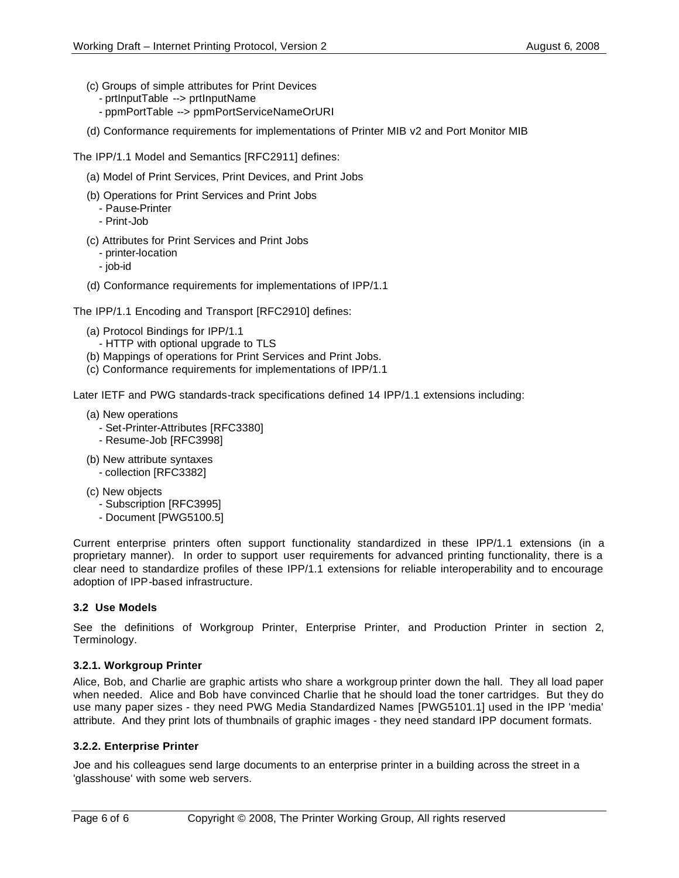- (c) Groups of simple attributes for Print Devices
	- prtInputTable --> prtInputName
	- ppmPortTable --> ppmPortServiceNameOrURI
- (d) Conformance requirements for implementations of Printer MIB v2 and Port Monitor MIB

The IPP/1.1 Model and Semantics [RFC2911] defines:

- (a) Model of Print Services, Print Devices, and Print Jobs
- (b) Operations for Print Services and Print Jobs
	- Pause-Printer
	- Print-Job
- (c) Attributes for Print Services and Print Jobs
	- printer-location
	- job-id
- (d) Conformance requirements for implementations of IPP/1.1

The IPP/1.1 Encoding and Transport [RFC2910] defines:

- (a) Protocol Bindings for IPP/1.1
	- HTTP with optional upgrade to TLS
- (b) Mappings of operations for Print Services and Print Jobs.
- (c) Conformance requirements for implementations of IPP/1.1

Later IETF and PWG standards-track specifications defined 14 IPP/1.1 extensions including:

- (a) New operations
	- Set-Printer-Attributes [RFC3380]
	- Resume-Job [RFC3998]
- (b) New attribute syntaxes - collection [RFC3382]
- (c) New objects
	- Subscription [RFC3995]
	- Document [PWG5100.5]

Current enterprise printers often support functionality standardized in these IPP/1.1 extensions (in a proprietary manner). In order to support user requirements for advanced printing functionality, there is a clear need to standardize profiles of these IPP/1.1 extensions for reliable interoperability and to encourage adoption of IPP-based infrastructure.

#### **3.2 Use Models**

See the definitions of Workgroup Printer, Enterprise Printer, and Production Printer in section 2, Terminology.

#### **3.2.1. Workgroup Printer**

Alice, Bob, and Charlie are graphic artists who share a workgroup printer down the hall. They all load paper when needed. Alice and Bob have convinced Charlie that he should load the toner cartridges. But they do use many paper sizes - they need PWG Media Standardized Names [PWG5101.1] used in the IPP 'media' attribute. And they print lots of thumbnails of graphic images - they need standard IPP document formats.

#### **3.2.2. Enterprise Printer**

Joe and his colleagues send large documents to an enterprise printer in a building across the street in a 'glasshouse' with some web servers.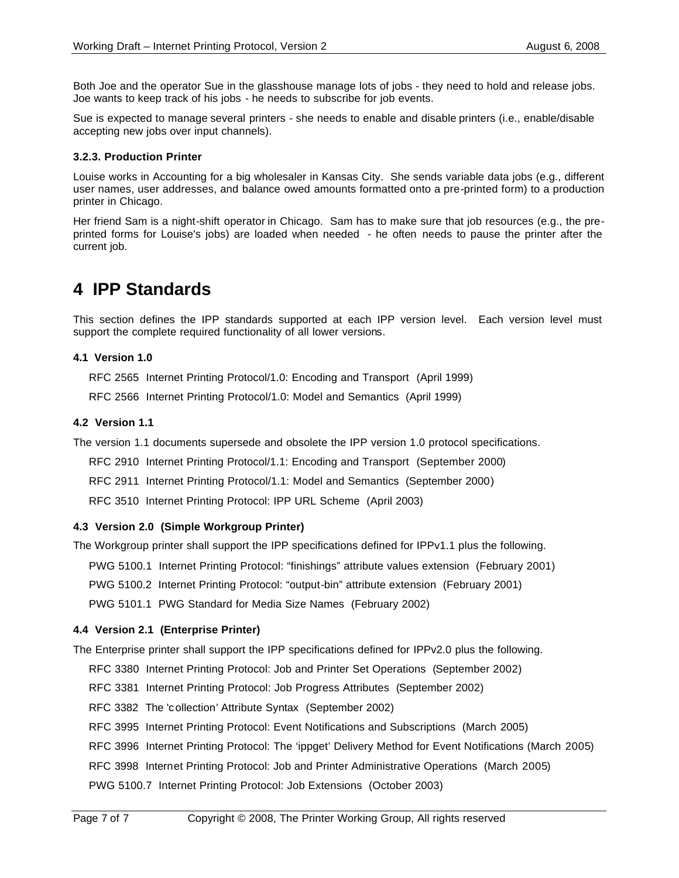Both Joe and the operator Sue in the glasshouse manage lots of jobs - they need to hold and release jobs. Joe wants to keep track of his jobs - he needs to subscribe for job events.

Sue is expected to manage several printers - she needs to enable and disable printers (i.e., enable/disable accepting new jobs over input channels).

#### **3.2.3. Production Printer**

Louise works in Accounting for a big wholesaler in Kansas City. She sends variable data jobs (e.g., different user names, user addresses, and balance owed amounts formatted onto a pre-printed form) to a production printer in Chicago.

Her friend Sam is a night-shift operator in Chicago. Sam has to make sure that job resources (e.g., the preprinted forms for Louise's jobs) are loaded when needed - he often needs to pause the printer after the current job.

### **4 IPP Standards**

This section defines the IPP standards supported at each IPP version level. Each version level must support the complete required functionality of all lower versions.

#### **4.1 Version 1.0**

RFC 2565 Internet Printing Protocol/1.0: Encoding and Transport (April 1999)

RFC 2566 Internet Printing Protocol/1.0: Model and Semantics (April 1999)

#### **4.2 Version 1.1**

The version 1.1 documents supersede and obsolete the IPP version 1.0 protocol specifications.

RFC 2910 Internet Printing Protocol/1.1: Encoding and Transport (September 2000)

RFC 2911 Internet Printing Protocol/1.1: Model and Semantics (September 2000)

RFC 3510 Internet Printing Protocol: IPP URL Scheme (April 2003)

#### **4.3 Version 2.0 (Simple Workgroup Printer)**

The Workgroup printer shall support the IPP specifications defined for IPPv1.1 plus the following.

PWG 5100.1 Internet Printing Protocol: "finishings" attribute values extension (February 2001)

PWG 5100.2 Internet Printing Protocol: "output-bin" attribute extension (February 2001)

PWG 5101.1 PWG Standard for Media Size Names (February 2002)

#### **4.4 Version 2.1 (Enterprise Printer)**

The Enterprise printer shall support the IPP specifications defined for IPPv2.0 plus the following.

RFC 3380 Internet Printing Protocol: Job and Printer Set Operations (September 2002)

RFC 3381 Internet Printing Protocol: Job Progress Attributes (September 2002)

RFC 3382 The 'collection' Attribute Syntax (September 2002)

RFC 3995 Internet Printing Protocol: Event Notifications and Subscriptions (March 2005)

RFC 3996 Internet Printing Protocol: The 'ippget' Delivery Method for Event Notifications (March 2005)

RFC 3998 Internet Printing Protocol: Job and Printer Administrative Operations (March 2005)

PWG 5100.7 Internet Printing Protocol: Job Extensions (October 2003)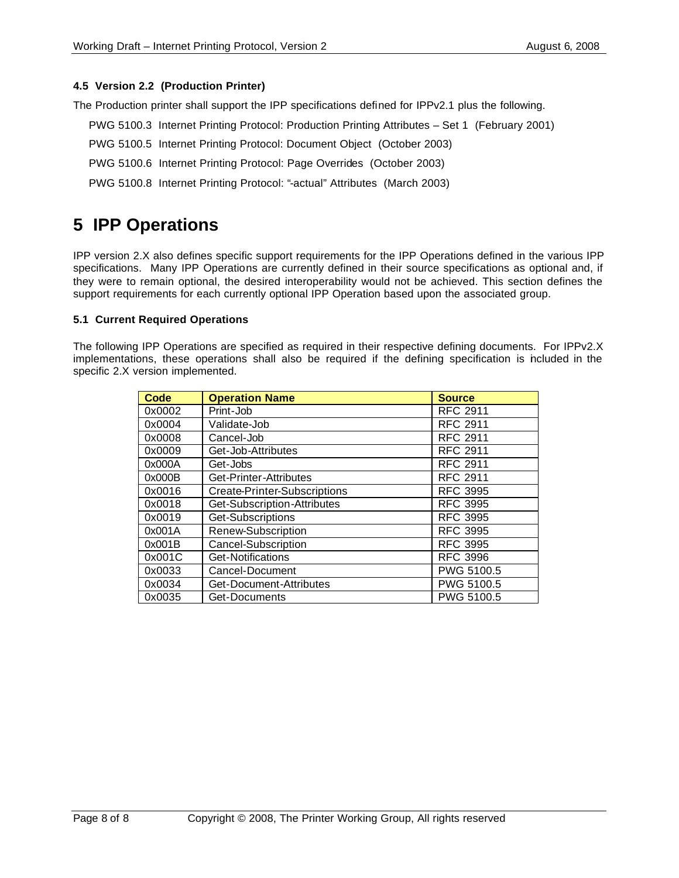#### **4.5 Version 2.2 (Production Printer)**

The Production printer shall support the IPP specifications defined for IPPv2.1 plus the following.

- PWG 5100.3 Internet Printing Protocol: Production Printing Attributes Set 1 (February 2001)
- PWG 5100.5 Internet Printing Protocol: Document Object (October 2003)
- PWG 5100.6 Internet Printing Protocol: Page Overrides (October 2003)
- PWG 5100.8 Internet Printing Protocol: "-actual" Attributes (March 2003)

### **5 IPP Operations**

IPP version 2.X also defines specific support requirements for the IPP Operations defined in the various IPP specifications. Many IPP Operations are currently defined in their source specifications as optional and, if they were to remain optional, the desired interoperability would not be achieved. This section defines the support requirements for each currently optional IPP Operation based upon the associated group.

#### **5.1 Current Required Operations**

The following IPP Operations are specified as required in their respective defining documents. For IPPv2.X implementations, these operations shall also be required if the defining specification is included in the specific 2.X version implemented.

| <b>Code</b> | <b>Operation Name</b>        | <b>Source</b>   |
|-------------|------------------------------|-----------------|
| 0x0002      | Print-Job                    | <b>RFC 2911</b> |
| 0x0004      | Validate-Job                 | <b>RFC 2911</b> |
| 0x0008      | Cancel-Job                   | <b>RFC 2911</b> |
| 0x0009      | Get-Job-Attributes           | <b>RFC 2911</b> |
| 0x000A      | Get-Jobs                     | <b>RFC 2911</b> |
| 0x000B      | Get-Printer-Attributes       | <b>RFC 2911</b> |
| 0x0016      | Create-Printer-Subscriptions | <b>RFC 3995</b> |
| 0x0018      | Get-Subscription-Attributes  | <b>RFC 3995</b> |
| 0x0019      | Get-Subscriptions            | <b>RFC 3995</b> |
| 0x001A      | Renew-Subscription           | <b>RFC 3995</b> |
| 0x001B      | Cancel-Subscription          | <b>RFC 3995</b> |
| 0x001C      | Get-Notifications            | <b>RFC 3996</b> |
| 0x0033      | Cancel-Document              | PWG 5100.5      |
| 0x0034      | Get-Document-Attributes      | PWG 5100.5      |
| 0x0035      | Get-Documents                | PWG 5100.5      |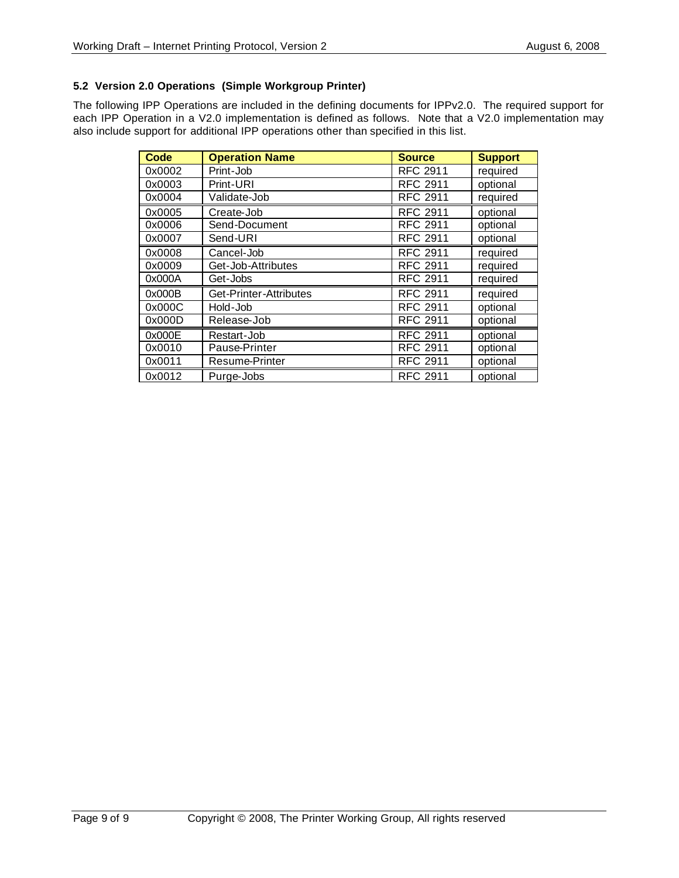#### **5.2 Version 2.0 Operations (Simple Workgroup Printer)**

The following IPP Operations are included in the defining documents for IPPv2.0. The required support for each IPP Operation in a V2.0 implementation is defined as follows. Note that a V2.0 implementation may also include support for additional IPP operations other than specified in this list.

| <b>Code</b> | <b>Operation Name</b>  | <b>Source</b>   | <b>Support</b> |
|-------------|------------------------|-----------------|----------------|
| 0x0002      | Print-Job              | <b>RFC 2911</b> | required       |
| 0x0003      | Print-URI              | <b>RFC 2911</b> | optional       |
| 0x0004      | Validate-Job           | <b>RFC 2911</b> | required       |
| 0x0005      | Create-Job             | <b>RFC 2911</b> | optional       |
| 0x0006      | Send-Document          | <b>RFC 2911</b> | optional       |
| 0x0007      | Send-URI               | <b>RFC 2911</b> | optional       |
| 0x0008      | Cancel-Job             | <b>RFC 2911</b> | required       |
| 0x0009      | Get-Job-Attributes     | <b>RFC 2911</b> | required       |
| 0x000A      | Get-Jobs               | <b>RFC 2911</b> | required       |
| 0x000B      | Get-Printer-Attributes | <b>RFC 2911</b> | required       |
| 0x000C      | Hold-Job               | <b>RFC 2911</b> | optional       |
| 0x000D      | Release-Job            | <b>RFC 2911</b> | optional       |
| 0x000E      | Restart-Job            | <b>RFC 2911</b> | optional       |
| 0x0010      | Pause-Printer          | <b>RFC 2911</b> | optional       |
| 0x0011      | Resume-Printer         | <b>RFC 2911</b> | optional       |
| 0x0012      | Purge-Jobs             | <b>RFC 2911</b> | optional       |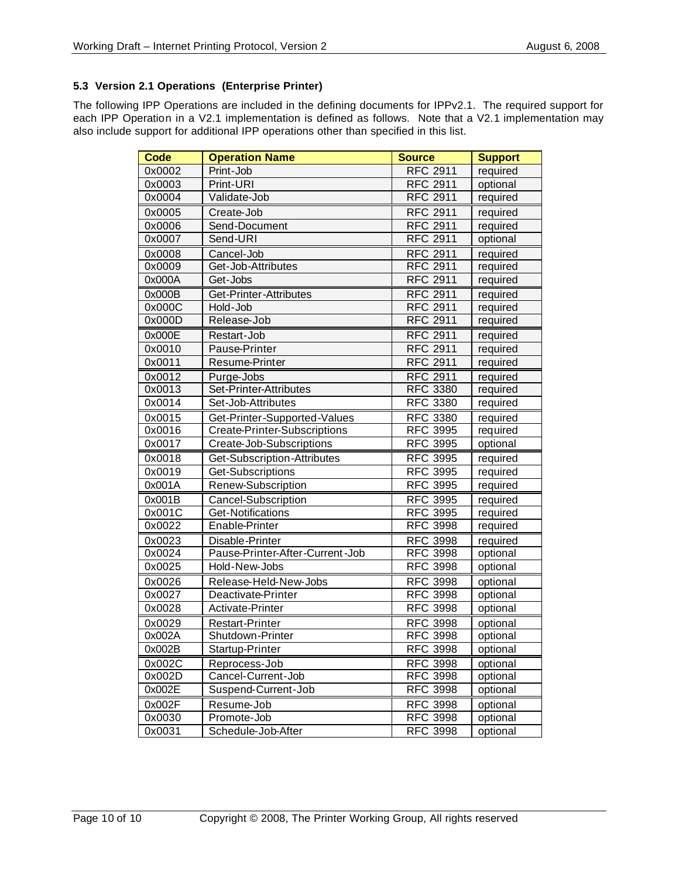#### **5.3 Version 2.1 Operations (Enterprise Printer)**

The following IPP Operations are included in the defining documents for IPPv2.1. The required support for each IPP Operation in a V2.1 implementation is defined as follows. Note that a V2.1 implementation may also include support for additional IPP operations other than specified in this list.

| <b>Code</b> | <b>Operation Name</b>               | <b>Source</b>   | <b>Support</b> |
|-------------|-------------------------------------|-----------------|----------------|
| 0x0002      | Print-Job                           | <b>RFC 2911</b> | required       |
| 0x0003      | Print-URI                           | <b>RFC 2911</b> | optional       |
| 0x0004      | Validate-Job                        | <b>RFC 2911</b> | required       |
| 0x0005      | Create-Job                          | <b>RFC 2911</b> | required       |
| 0x0006      | Send-Document                       | <b>RFC 2911</b> | required       |
| 0x0007      | Send-URI                            | <b>RFC 2911</b> | optional       |
| 0x0008      | Cancel-Job                          | <b>RFC 2911</b> | required       |
| 0x0009      | Get-Job-Attributes                  | <b>RFC 2911</b> | required       |
| 0x000A      | Get-Jobs                            | <b>RFC 2911</b> | required       |
| 0x000B      | Get-Printer-Attributes              | <b>RFC 2911</b> | required       |
| 0x000C      | Hold-Job                            | <b>RFC 2911</b> | required       |
| 0x000D      | Release-Job                         | <b>RFC 2911</b> | required       |
| 0x000E      | Restart-Job                         | <b>RFC 2911</b> | required       |
| 0x0010      | Pause-Printer                       | <b>RFC 2911</b> | required       |
| 0x0011      | Resume-Printer                      | <b>RFC 2911</b> | required       |
| 0x0012      | Purge-Jobs                          | <b>RFC 2911</b> | required       |
| 0x0013      | Set-Printer-Attributes              | <b>RFC 3380</b> | required       |
| 0x0014      | Set-Job-Attributes                  | <b>RFC 3380</b> | required       |
| 0x0015      | Get-Printer-Supported-Values        | <b>RFC 3380</b> | required       |
| 0x0016      | <b>Create-Printer-Subscriptions</b> | <b>RFC 3995</b> | required       |
| 0x0017      | Create-Job-Subscriptions            | <b>RFC 3995</b> | optional       |
| 0x0018      | Get-Subscription-Attributes         | <b>RFC 3995</b> | required       |
| 0x0019      | Get-Subscriptions                   | <b>RFC 3995</b> | required       |
| 0x001A      | Renew-Subscription                  | <b>RFC 3995</b> | required       |
| 0x001B      | Cancel-Subscription                 | <b>RFC 3995</b> | required       |
| 0x001C      | Get-Notifications                   | <b>RFC 3995</b> | required       |
| 0x0022      | Enable-Printer                      | <b>RFC 3998</b> | required       |
| 0x0023      | Disable-Printer                     | <b>RFC 3998</b> | required       |
| 0x0024      | Pause-Printer-After-Current-Job     | <b>RFC 3998</b> | optional       |
| 0x0025      | Hold-New-Jobs                       | <b>RFC 3998</b> | optional       |
| 0x0026      | Release-Held-New-Jobs               | <b>RFC 3998</b> | optional       |
| 0x0027      | Deactivate-Printer                  | <b>RFC 3998</b> | optional       |
| 0x0028      | Activate-Printer                    | <b>RFC 3998</b> | optional       |
| 0x0029      | <b>Restart-Printer</b>              | <b>RFC 3998</b> | optional       |
| 0x002A      | Shutdown-Printer                    | <b>RFC 3998</b> | optional       |
| 0x002B      | Startup-Printer                     | <b>RFC 3998</b> | optional       |
| 0x002C      | Reprocess-Job                       | RFC 3998        | optional       |
| 0x002D      | Cancel-Current-Job                  | <b>RFC 3998</b> | optional       |
| 0x002E      | Suspend-Current-Job                 | <b>RFC 3998</b> | optional       |
| 0x002F      | Resume-Job                          | <b>RFC 3998</b> | optional       |
| 0x0030      | Promote-Job                         | <b>RFC 3998</b> | optional       |
| 0x0031      | Schedule-Job-After                  | <b>RFC 3998</b> | optional       |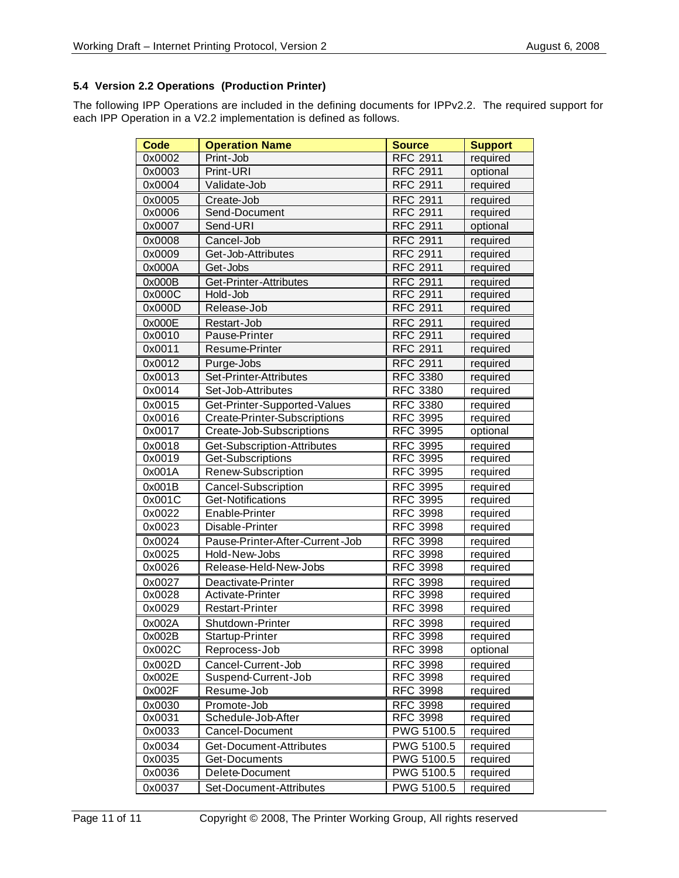#### **5.4 Version 2.2 Operations (Production Printer)**

The following IPP Operations are included in the defining documents for IPPv2.2. The required support for each IPP Operation in a V2.2 implementation is defined as follows.

| <b>Code</b> | <b>Operation Name</b>           | <b>Source</b>   | <b>Support</b> |
|-------------|---------------------------------|-----------------|----------------|
| 0x0002      | Print-Job                       | <b>RFC 2911</b> | required       |
| 0x0003      | Print-URI                       | <b>RFC 2911</b> | optional       |
| 0x0004      | Validate-Job                    | <b>RFC 2911</b> | required       |
| 0x0005      | Create-Job                      | <b>RFC 2911</b> | required       |
| 0x0006      | Send-Document                   | <b>RFC 2911</b> | required       |
| 0x0007      | Send-URI                        | <b>RFC 2911</b> | optional       |
| 0x0008      | Cancel-Job                      | <b>RFC 2911</b> | required       |
| 0x0009      | Get-Job-Attributes              | <b>RFC 2911</b> | required       |
| 0x000A      | Get-Jobs                        | <b>RFC 2911</b> | required       |
| 0x000B      | Get-Printer-Attributes          | <b>RFC 2911</b> | required       |
| 0x000C      | Hold-Job                        | <b>RFC 2911</b> | required       |
| 0x000D      | Release-Job                     | <b>RFC 2911</b> | required       |
| 0x000E      | Restart-Job                     | <b>RFC 2911</b> | required       |
| 0x0010      | Pause-Printer                   | <b>RFC 2911</b> | required       |
| 0x0011      | Resume-Printer                  | <b>RFC 2911</b> | required       |
| 0x0012      | Purge-Jobs                      | <b>RFC 2911</b> | required       |
| 0x0013      | Set-Printer-Attributes          | <b>RFC 3380</b> | required       |
| 0x0014      | Set-Job-Attributes              | <b>RFC 3380</b> | required       |
| 0x0015      | Get-Printer-Supported-Values    | <b>RFC 3380</b> | required       |
| 0x0016      | Create-Printer-Subscriptions    | <b>RFC 3995</b> | required       |
| 0x0017      | Create-Job-Subscriptions        | <b>RFC 3995</b> | optional       |
| 0x0018      | Get-Subscription-Attributes     | <b>RFC 3995</b> | required       |
| 0x0019      | Get-Subscriptions               | <b>RFC 3995</b> | required       |
| 0x001A      | Renew-Subscription              | <b>RFC 3995</b> | required       |
| 0x001B      | Cancel-Subscription             | <b>RFC 3995</b> | required       |
| 0x001C      | Get-Notifications               | <b>RFC 3995</b> | required       |
| 0x0022      | Enable-Printer                  | <b>RFC 3998</b> | required       |
| 0x0023      | Disable-Printer                 | <b>RFC 3998</b> | required       |
| 0x0024      | Pause-Printer-After-Current-Job | <b>RFC 3998</b> | required       |
| 0x0025      | Hold-New-Jobs                   | <b>RFC 3998</b> | required       |
| 0x0026      | Release-Held-New-Jobs           | <b>RFC 3998</b> | required       |
| 0x0027      | Deactivate-Printer              | <b>RFC 3998</b> | required       |
| 0x0028      | Activate-Printer                | <b>RFC 3998</b> | required       |
| 0x0029      | <b>Restart-Printer</b>          | <b>RFC 3998</b> | required       |
| 0x002A      | Shutdown-Printer                | <b>RFC 3998</b> | required       |
| 0x002B      | Startup-Printer                 | RFC 3998        | required       |
| 0x002C      | Reprocess-Job                   | <b>RFC 3998</b> | optional       |
| 0x002D      | Cancel-Current-Job              | <b>RFC 3998</b> | required       |
| 0x002E      | Suspend-Current-Job             | <b>RFC 3998</b> | required       |
| 0x002F      | Resume-Job                      | <b>RFC 3998</b> | required       |
| 0x0030      | Promote-Job                     | <b>RFC 3998</b> | required       |
| 0x0031      | Schedule-Job-After              | <b>RFC 3998</b> | required       |
| 0x0033      | Cancel-Document                 | PWG 5100.5      | required       |
| 0x0034      | Get-Document-Attributes         | PWG 5100.5      | required       |
| 0x0035      | Get-Documents                   | PWG 5100.5      | required       |
| 0x0036      | Delete-Document                 | PWG 5100.5      | required       |
| 0x0037      | Set-Document-Attributes         | PWG 5100.5      | required       |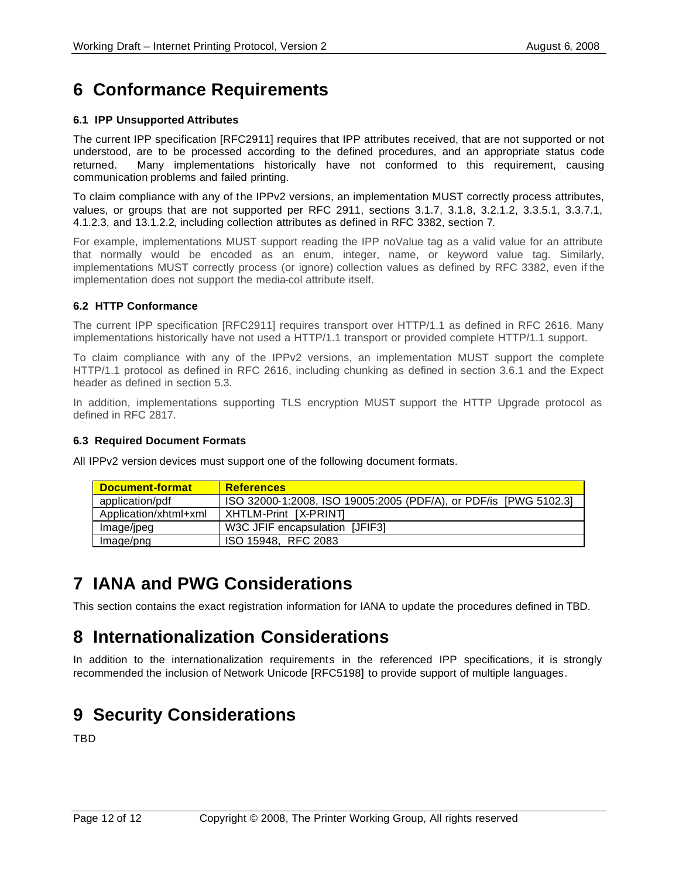# **6 Conformance Requirements**

#### **6.1 IPP Unsupported Attributes**

The current IPP specification [RFC2911] requires that IPP attributes received, that are not supported or not understood, are to be processed according to the defined procedures, and an appropriate status code returned. Many implementations historically have not conformed to this requirement, causing communication problems and failed printing.

To claim compliance with any of the IPPv2 versions, an implementation MUST correctly process attributes, values, or groups that are not supported per RFC 2911, sections 3.1.7, 3.1.8, 3.2.1.2, 3.3.5.1, 3.3.7.1, 4.1.2.3, and 13.1.2.2, including collection attributes as defined in RFC 3382, section 7.

For example, implementations MUST support reading the IPP noValue tag as a valid value for an attribute that normally would be encoded as an enum, integer, name, or keyword value tag. Similarly, implementations MUST correctly process (or ignore) collection values as defined by RFC 3382, even if the implementation does not support the media-col attribute itself.

#### **6.2 HTTP Conformance**

The current IPP specification [RFC2911] requires transport over HTTP/1.1 as defined in RFC 2616. Many implementations historically have not used a HTTP/1.1 transport or provided complete HTTP/1.1 support.

To claim compliance with any of the IPPv2 versions, an implementation MUST support the complete HTTP/1.1 protocol as defined in RFC 2616, including chunking as defined in section 3.6.1 and the Expect header as defined in section 5.3.

In addition, implementations supporting TLS encryption MUST support the HTTP Upgrade protocol as defined in RFC 2817.

#### **6.3 Required Document Formats**

All IPPv2 version devices must support one of the following document formats.

| <b>Document-format</b> | <b>References</b>                                                |
|------------------------|------------------------------------------------------------------|
| application/pdf        | ISO 32000-1:2008, ISO 19005:2005 (PDF/A), or PDF/is [PWG 5102.3] |
| Application/xhtml+xml  | XHTLM-Print   X-PRINT                                            |
| Image/jpeg             | W3C JFIF encapsulation [JFIF3]                                   |
| Image/png              | ISO 15948. RFC 2083                                              |

### **7 IANA and PWG Considerations**

This section contains the exact registration information for IANA to update the procedures defined in TBD.

### **8 Internationalization Considerations**

In addition to the internationalization requirements in the referenced IPP specifications, it is strongly recommended the inclusion of Network Unicode [RFC5198] to provide support of multiple languages.

# **9 Security Considerations**

TBD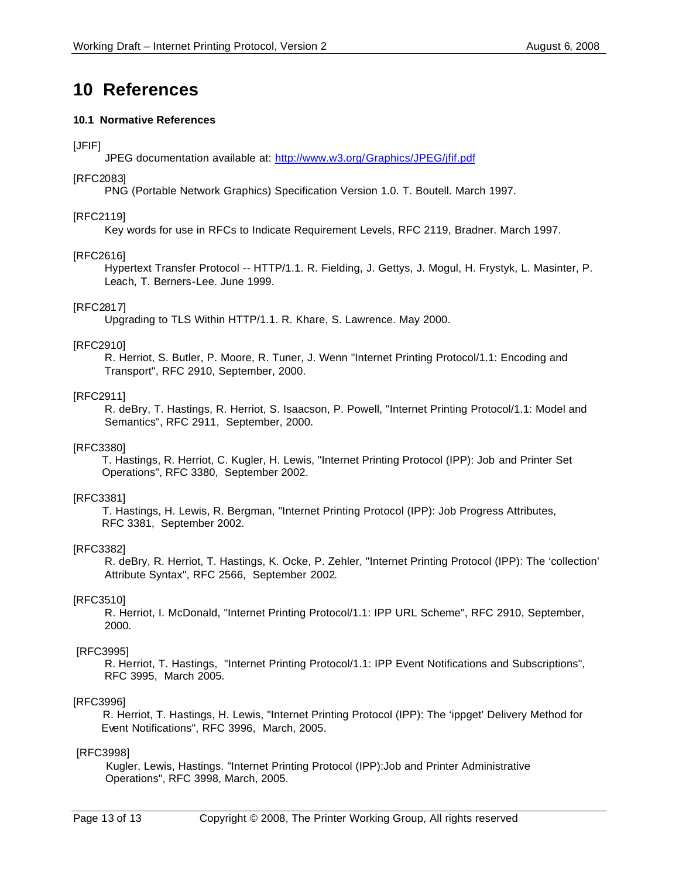### **10 References**

#### **10.1 Normative References**

#### [JFIF]

JPEG documentation available at: http://www.w3.org/Graphics/JPEG/jfif.pdf

#### [RFC2083]

PNG (Portable Network Graphics) Specification Version 1.0. T. Boutell. March 1997.

#### [RFC2119]

Key words for use in RFCs to Indicate Requirement Levels, RFC 2119, Bradner. March 1997.

#### [RFC2616]

Hypertext Transfer Protocol -- HTTP/1.1. R. Fielding, J. Gettys, J. Mogul, H. Frystyk, L. Masinter, P. Leach, T. Berners-Lee. June 1999.

#### [RFC2817]

Upgrading to TLS Within HTTP/1.1. R. Khare, S. Lawrence. May 2000.

#### [RFC2910]

R. Herriot, S. Butler, P. Moore, R. Tuner, J. Wenn "Internet Printing Protocol/1.1: Encoding and Transport", RFC 2910, September, 2000.

#### [RFC2911]

R. deBry, T. Hastings, R. Herriot, S. Isaacson, P. Powell, "Internet Printing Protocol/1.1: Model and Semantics", RFC 2911, September, 2000.

#### [RFC3380]

 T. Hastings, R. Herriot, C. Kugler, H. Lewis, "Internet Printing Protocol (IPP): Job and Printer Set Operations", RFC 3380, September 2002.

#### [RFC3381]

 T. Hastings, H. Lewis, R. Bergman, "Internet Printing Protocol (IPP): Job Progress Attributes, RFC 3381, September 2002.

#### [RFC3382]

R. deBry, R. Herriot, T. Hastings, K. Ocke, P. Zehler, "Internet Printing Protocol (IPP): The 'collection' Attribute Syntax", RFC 2566, September 2002.

#### [RFC3510]

R. Herriot, I. McDonald, "Internet Printing Protocol/1.1: IPP URL Scheme", RFC 2910, September, 2000.

#### [RFC3995]

R. Herriot, T. Hastings, "Internet Printing Protocol/1.1: IPP Event Notifications and Subscriptions", RFC 3995, March 2005.

#### [RFC3996]

 R. Herriot, T. Hastings, H. Lewis, "Internet Printing Protocol (IPP): The 'ippget' Delivery Method for Event Notifications", RFC 3996, March, 2005.

#### [RFC3998]

 Kugler, Lewis, Hastings. "Internet Printing Protocol (IPP):Job and Printer Administrative Operations", RFC 3998, March, 2005.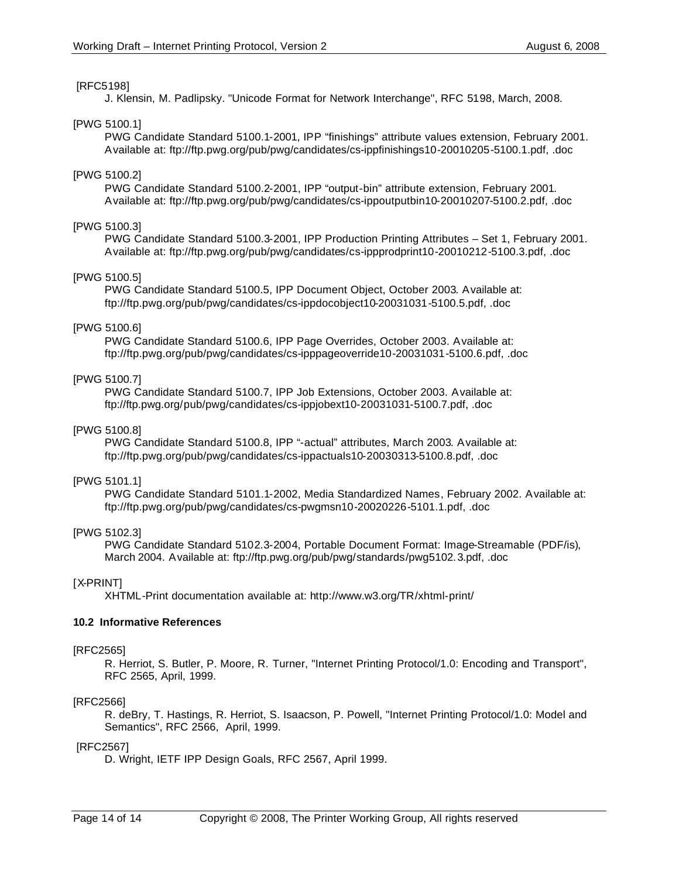#### [RFC5198]

J. Klensin, M. Padlipsky. "Unicode Format for Network Interchange", RFC 5198, March, 2008.

#### [PWG 5100.1]

PWG Candidate Standard 5100.1-2001, IPP "finishings" attribute values extension, February 2001. Available at: ftp://ftp.pwg.org/pub/pwg/candidates/cs-ippfinishings10-20010205-5100.1.pdf, .doc

#### [PWG 5100.2]

PWG Candidate Standard 5100.2-2001, IPP "output-bin" attribute extension, February 2001. Available at: ftp://ftp.pwg.org/pub/pwg/candidates/cs-ippoutputbin10-20010207-5100.2.pdf, .doc

#### [PWG 5100.3]

PWG Candidate Standard 5100.3-2001, IPP Production Printing Attributes – Set 1, February 2001. Available at: ftp://ftp.pwg.org/pub/pwg/candidates/cs-ippprodprint10-20010212-5100.3.pdf, .doc

#### [PWG 5100.5]

PWG Candidate Standard 5100.5, IPP Document Object, October 2003. Available at: ftp://ftp.pwg.org/pub/pwg/candidates/cs-ippdocobject10-20031031-5100.5.pdf, .doc

#### [PWG 5100.6]

PWG Candidate Standard 5100.6, IPP Page Overrides, October 2003. Available at: ftp://ftp.pwg.org/pub/pwg/candidates/cs-ipppageoverride10-20031031-5100.6.pdf, .doc

#### [PWG 5100.7]

PWG Candidate Standard 5100.7, IPP Job Extensions, October 2003. Available at: ftp://ftp.pwg.org/pub/pwg/candidates/cs-ippjobext10-20031031-5100.7.pdf, .doc

#### [PWG 5100.8]

PWG Candidate Standard 5100.8, IPP "-actual" attributes, March 2003. Available at: ftp://ftp.pwg.org/pub/pwg/candidates/cs-ippactuals10-20030313-5100.8.pdf, .doc

#### [PWG 5101.1]

PWG Candidate Standard 5101.1-2002, Media Standardized Names, February 2002. Available at: ftp://ftp.pwg.org/pub/pwg/candidates/cs-pwgmsn10-20020226-5101.1.pdf, .doc

#### [PWG 5102.3]

PWG Candidate Standard 5102.3-2004, Portable Document Format: Image-Streamable (PDF/is), March 2004. Available at: ftp://ftp.pwg.org/pub/pwg/standards/pwg5102.3.pdf, .doc

#### [X-PRINT]

XHTML-Print documentation available at: http://www.w3.org/TR/xhtml-print/

#### **10.2 Informative References**

#### [RFC2565]

R. Herriot, S. Butler, P. Moore, R. Turner, "Internet Printing Protocol/1.0: Encoding and Transport", RFC 2565, April, 1999.

#### [RFC2566]

R. deBry, T. Hastings, R. Herriot, S. Isaacson, P. Powell, "Internet Printing Protocol/1.0: Model and Semantics", RFC 2566, April, 1999.

#### [RFC2567]

D. Wright, IETF IPP Design Goals, RFC 2567, April 1999.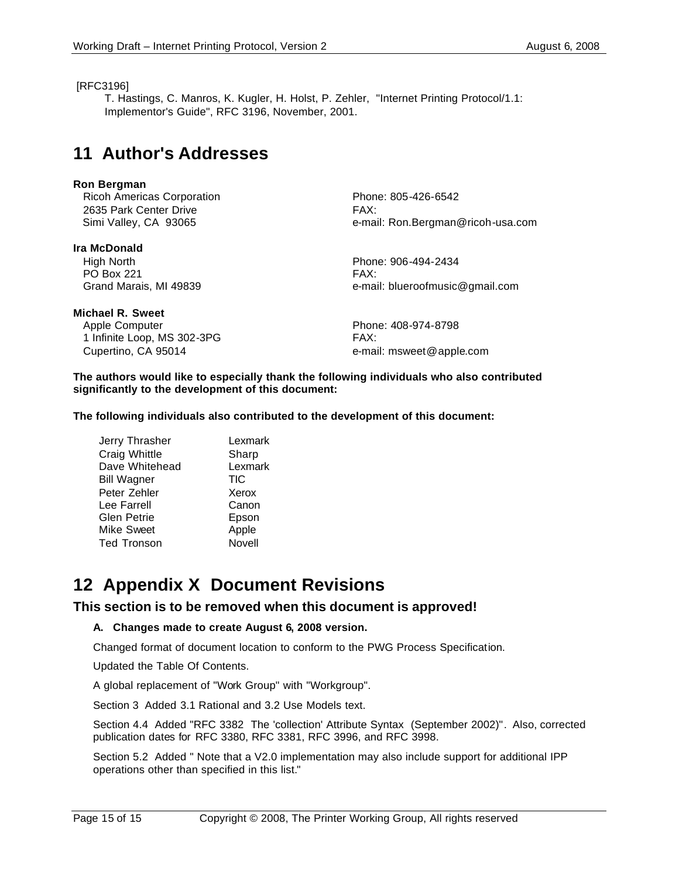#### [RFC3196]

T. Hastings, C. Manros, K. Kugler, H. Holst, P. Zehler, "Internet Printing Protocol/1.1: Implementor's Guide", RFC 3196, November, 2001.

### **11 Author's Addresses**

#### **Ron Bergman**

| <b>Ricoh Americas Corporation</b> | Phone: 805-426-6542               |
|-----------------------------------|-----------------------------------|
| 2635 Park Center Drive            | FAX:                              |
| Simi Valley, CA 93065             | e-mail: Ron.Bergman@ricoh-usa.com |
| Ira McDonald                      |                                   |
| High North                        | Phone: 906-494-2434               |
| <b>PO Box 221</b>                 | FAX:                              |
| Grand Marais, MI 49839            | e-mail: blueroofmusic@gmail.com   |
| Michael R. Sweet                  |                                   |
| Apple Computer                    | Phone: 408-974-8798               |
| 1 Infinite Loop, MS 302-3PG       | FAX:                              |

**The authors would like to especially thank the following individuals who also contributed significantly to the development of this document:**

**The following individuals also contributed to the development of this document:**

Cupertino, CA 95014 **E-Mail:** msweet @apple.com

| Jerry Thrasher     | Lexmark |
|--------------------|---------|
| Craig Whittle      | Sharp   |
| Dave Whitehead     | Lexmark |
| <b>Bill Wagner</b> | TIC     |
| Peter Zehler       | Xerox   |
| Lee Farrell        | Canon   |
| Glen Petrie        | Epson   |
| Mike Sweet         | Apple   |
| <b>Ted Tronson</b> | Novell  |

### **12 Appendix X Document Revisions**

#### **This section is to be removed when this document is approved!**

#### **A. Changes made to create August 6, 2008 version.**

Changed format of document location to conform to the PWG Process Specification.

Updated the Table Of Contents.

A global replacement of "Work Group" with "Workgroup".

Section 3 Added 3.1 Rational and 3.2 Use Models text.

Section 4.4 Added "RFC 3382 The 'collection' Attribute Syntax (September 2002)". Also, corrected publication dates for RFC 3380, RFC 3381, RFC 3996, and RFC 3998.

Section 5.2 Added " Note that a V2.0 implementation may also include support for additional IPP operations other than specified in this list."